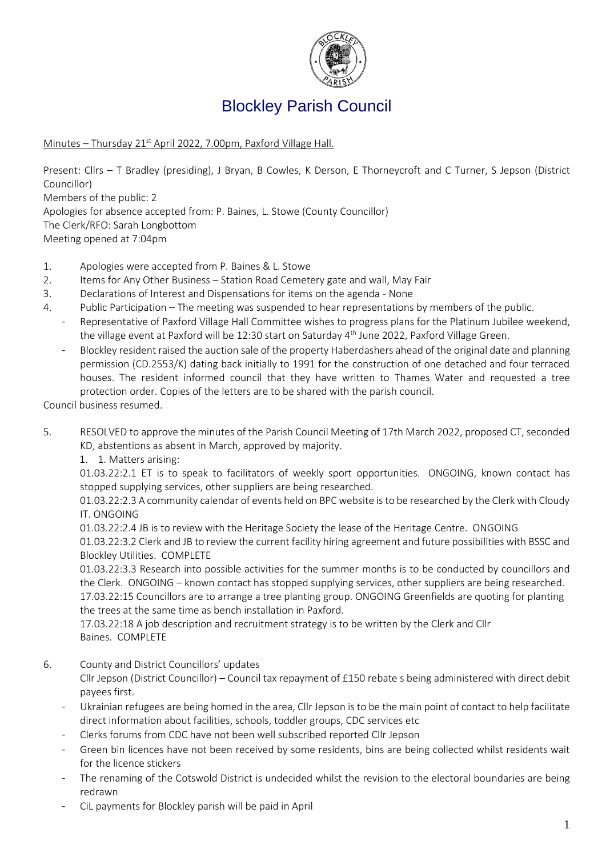

# Blockley Parish Council

Minutes - Thursday 21<sup>st</sup> April 2022, 7.00pm, Paxford Village Hall.

Present: Cllrs – T Bradley (presiding), J Bryan, B Cowles, K Derson, E Thorneycroft and C Turner, S Jepson (District Councillor)

Members of the public: 2

Apologies for absence accepted from: P. Baines, L. Stowe (County Councillor)

The Clerk/RFO: Sarah Longbottom

Meeting opened at 7:04pm

- 1. Apologies were accepted from P. Baines & L. Stowe
- 2. Items for Any Other Business Station Road Cemetery gate and wall, May Fair
- 3. Declarations of Interest and Dispensations for items on the agenda None
- 4. Public Participation The meeting was suspended to hear representations by members of the public.
	- Representative of Paxford Village Hall Committee wishes to progress plans for the Platinum Jubilee weekend, the village event at Paxford will be 12:30 start on Saturday 4<sup>th</sup> June 2022, Paxford Village Green.
	- Blockley resident raised the auction sale of the property Haberdashers ahead of the original date and planning permission (CD.2553/K) dating back initially to 1991 for the construction of one detached and four terraced houses. The resident informed council that they have written to Thames Water and requested a tree protection order. Copies of the letters are to be shared with the parish council.

Council business resumed.

- 5. RESOLVED to approve the minutes of the Parish Council Meeting of 17th March 2022, proposed CT, seconded KD, abstentions as absent in March, approved by majority.
	- 1. 1. Matters arising:

01.03.22:2.1 ET is to speak to facilitators of weekly sport opportunities.   ONGOING, known contact has stopped supplying services, other suppliers are being researched.

01.03.22:2.3 A community calendar of events held on BPC website is to be researched by the Clerk with Cloudy IT. ONGOING 

01.03.22:2.4 JB is to review with the Heritage Society the lease of the Heritage Centre.  ONGOING

01.03.22:3.2 Clerk and JB to review the current facility hiring agreement and future possibilities with BSSC and Blockley Utilities.  COMPLETE

01.03.22:3.3 Research into possible activities for the summer months is to be conducted by councillors and the Clerk.  ONGOING – known contact has stopped supplying services, other suppliers are being researched.

17.03.22:15 Councillors are to arrange a tree planting group. ONGOING Greenfields are quoting for planting the trees at the same time as bench installation in Paxford.

17.03.22:18 A job description and recruitment strategy is to be written by the Clerk and Cllr Baines.  COMPLETE

6. County and District Councillors' updates

Cllr Jepson (District Councillor) – Council tax repayment of £150 rebate s being administered with direct debit payees first.

- Ukrainian refugees are being homed in the area, Cllr Jepson is to be the main point of contact to help facilitate direct information about facilities, schools, toddler groups, CDC services etc
- Clerks forums from CDC have not been well subscribed reported Cllr Jepson
- Green bin licences have not been received by some residents, bins are being collected whilst residents wait for the licence stickers
- The renaming of the Cotswold District is undecided whilst the revision to the electoral boundaries are being redrawn
- CiL payments for Blockley parish will be paid in April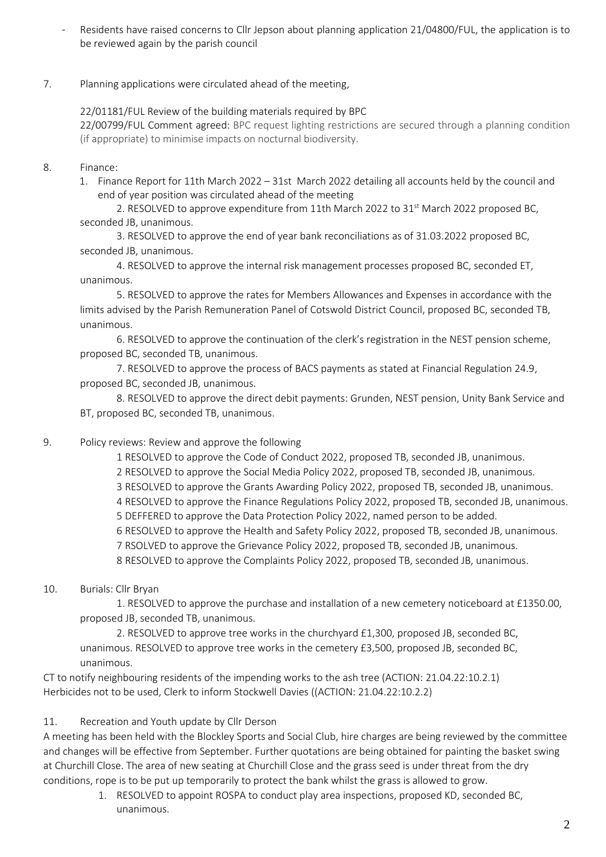- Residents have raised concerns to Cllr Jepson about planning application 21/04800/FUL, the application is to be reviewed again by the parish council
- 7. Planning applications were circulated ahead of the meeting,

22/01181/FUL Review of the building materials required by BPC

22/00799/FUL Comment agreed: BPC request lighting restrictions are secured through a planning condition (if appropriate) to minimise impacts on nocturnal biodiversity.

- 8. Finance:
	- 1. Finance Report for 11th March 2022 31st March 2022 detailing all accounts held by the council and end of year position was circulated ahead of the meeting

2. RESOLVED to approve expenditure from 11th March 2022 to 31 $\mathrm{st}$  March 2022 proposed BC, seconded JB, unanimous.

3. RESOLVED to approve the end of year bank reconciliations as of 31.03.2022 proposed BC, seconded JB, unanimous.

4. RESOLVED to approve the internal risk management processes proposed BC, seconded ET, unanimous.

5. RESOLVED to approve the rates for Members Allowances and Expenses in accordance with the limits advised by the Parish Remuneration Panel of Cotswold District Council, proposed BC, seconded TB, unanimous.

6. RESOLVED to approve the continuation of the clerk's registration in the NEST pension scheme, proposed BC, seconded TB, unanimous.

7. RESOLVED to approve the process of BACS payments as stated at Financial Regulation 24.9, proposed BC, seconded JB, unanimous.

8. RESOLVED to approve the direct debit payments: Grunden, NEST pension, Unity Bank Service and BT, proposed BC, seconded TB, unanimous.

# 9. Policy reviews: Review and approve the following

1 RESOLVED to approve the Code of Conduct 2022, proposed TB, seconded JB, unanimous.

- 2 RESOLVED to approve the Social Media Policy 2022, proposed TB, seconded JB, unanimous.
- 3 RESOLVED to approve the Grants Awarding Policy 2022, proposed TB, seconded JB, unanimous.
- 4 RESOLVED to approve the Finance Regulations Policy 2022, proposed TB, seconded JB, unanimous.
- 5 DEFFERED to approve the Data Protection Policy 2022, named person to be added.
- 6 RESOLVED to approve the Health and Safety Policy 2022, proposed TB, seconded JB, unanimous.
- 7 RSOLVED to approve the Grievance Policy 2022, proposed TB, seconded JB, unanimous.

8 RESOLVED to approve the Complaints Policy 2022, proposed TB, seconded JB, unanimous.

10. Burials: Cllr Bryan

1. RESOLVED to approve the purchase and installation of a new cemetery noticeboard at £1350.00, proposed JB, seconded TB, unanimous.

2. RESOLVED to approve tree works in the churchyard £1,300, proposed JB, seconded BC, unanimous. RESOLVED to approve tree works in the cemetery £3,500, proposed JB, seconded BC, unanimous.

CT to notify neighbouring residents of the impending works to the ash tree (ACTION: 21.04.22:10.2.1) Herbicides not to be used, Clerk to inform Stockwell Davies ((ACTION: 21.04.22:10.2.2)

# 11. Recreation and Youth update by Cllr Derson

A meeting has been held with the Blockley Sports and Social Club, hire charges are being reviewed by the committee and changes will be effective from September. Further quotations are being obtained for painting the basket swing at Churchill Close. The area of new seating at Churchill Close and the grass seed is under threat from the dry conditions, rope is to be put up temporarily to protect the bank whilst the grass is allowed to grow.

> 1. RESOLVED to appoint ROSPA to conduct play area inspections, proposed KD, seconded BC, unanimous.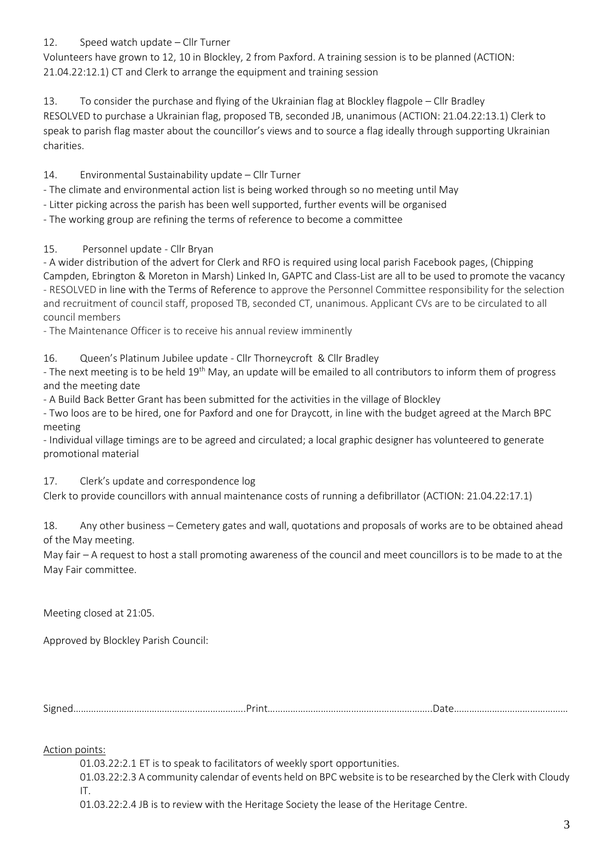### 12. Speed watch update – Cllr Turner

Volunteers have grown to 12, 10 in Blockley, 2 from Paxford. A training session is to be planned (ACTION: 21.04.22:12.1) CT and Clerk to arrange the equipment and training session

13. To consider the purchase and flying of the Ukrainian flag at Blockley flagpole – Cllr Bradley RESOLVED to purchase a Ukrainian flag, proposed TB, seconded JB, unanimous (ACTION: 21.04.22:13.1) Clerk to speak to parish flag master about the councillor's views and to source a flag ideally through supporting Ukrainian charities.

#### 14. Environmental Sustainability update – Cllr Turner

- The climate and environmental action list is being worked through so no meeting until May

- Litter picking across the parish has been well supported, further events will be organised

- The working group are refining the terms of reference to become a committee

#### 15. Personnel update - Cllr Bryan

- A wider distribution of the advert for Clerk and RFO is required using local parish Facebook pages, (Chipping Campden, Ebrington & Moreton in Marsh) Linked In, GAPTC and Class-List are all to be used to promote the vacancy - RESOLVED in line with the Terms of Reference to approve the Personnel Committee responsibility for the selection and recruitment of council staff, proposed TB, seconded CT, unanimous. Applicant CVs are to be circulated to all council members

- The Maintenance Officer is to receive his annual review imminently

16. Queen's Platinum Jubilee update - Cllr Thorneycroft & Cllr Bradley

- The next meeting is to be held 19<sup>th</sup> May, an update will be emailed to all contributors to inform them of progress and the meeting date

- A Build Back Better Grant has been submitted for the activities in the village of Blockley

- Two loos are to be hired, one for Paxford and one for Draycott, in line with the budget agreed at the March BPC meeting

- Individual village timings are to be agreed and circulated; a local graphic designer has volunteered to generate promotional material

# 17. Clerk's update and correspondence log

Clerk to provide councillors with annual maintenance costs of running a defibrillator (ACTION: 21.04.22:17.1)

18. Any other business – Cemetery gates and wall, quotations and proposals of works are to be obtained ahead of the May meeting.

May fair – A request to host a stall promoting awareness of the council and meet councillors is to be made to at the May Fair committee.

Meeting closed at 21:05.

Approved by Blockley Parish Council:

Signed…………………………………………………………..Print………………………………………………………..Date………………………………………

Action points:

01.03.22:2.1 ET is to speak to facilitators of weekly sport opportunities.  

01.03.22:2.3 A community calendar of events held on BPC website is to be researched by the Clerk with Cloudy IT. 

01.03.22:2.4 JB is to review with the Heritage Society the lease of the Heritage Centre.